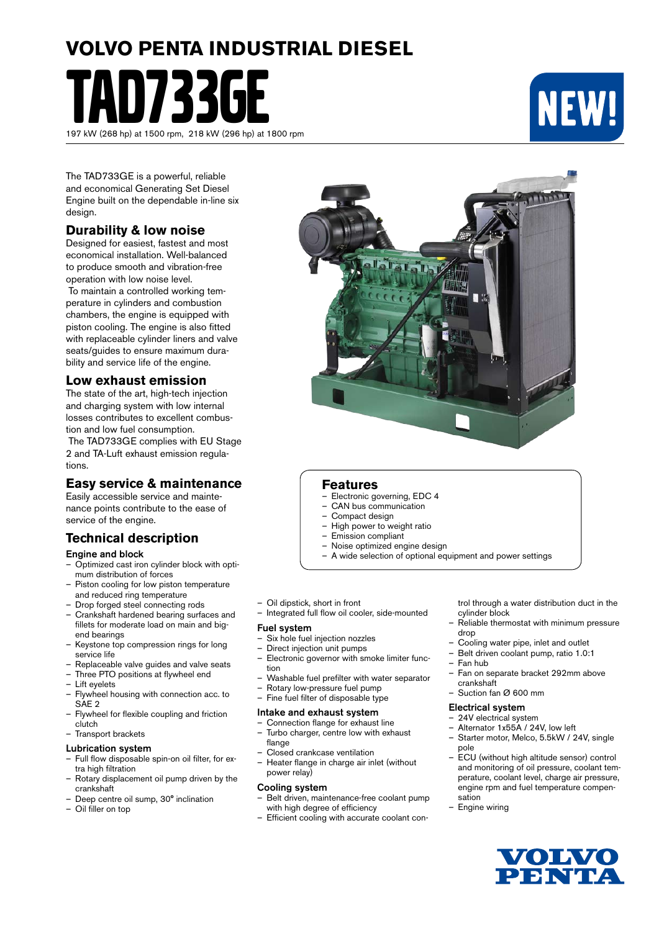# **VOLVO PENTA INDUSTRIAL DIESEL**

TAD733GE 197 kW (268 hp) at 1500 rpm, 218 kW (296 hp) at 1800 rpm



The TAD733GE is a powerful, reliable and economical Generating Set Diesel Engine built on the dependable in-line six design.

## **Durability & low noise**

Designed for easiest, fastest and most economical installation. Well-balanced to produce smooth and vibration-free operation with low noise level.

 To maintain a controlled working temperature in cylinders and combustion chambers, the engine is equipped with piston cooling. The engine is also fitted with replaceable cylinder liners and valve seats/guides to ensure maximum durability and service life of the engine.

### **Low exhaust emission**

The state of the art, high-tech injection and charging system with low internal losses contributes to excellent combustion and low fuel consumption.

 The TAD733GE complies with EU Stage 2 and TA-Luft exhaust emission regulations.

## **Easy service & maintenance**

Easily accessible service and maintenance points contribute to the ease of service of the engine.

## **Technical description**

#### Engine and block

- Optimized cast iron cylinder block with optimum distribution of forces
- Piston cooling for low piston temperature and reduced ring temperature
- Drop forged steel connecting rods
- Crankshaft hardened bearing surfaces and fillets for moderate load on main and bigend bearings
- Keystone top compression rings for long service life
- Replaceable valve guides and valve seats
- Three PTO positions at flywheel end
- Lift eyelets
- Flywheel housing with connection acc. to SAE 2
- Flywheel for flexible coupling and friction clutch
- Transport brackets

#### Lubrication system

- Full flow disposable spin-on oil filter, for extra high filtration
- Rotary displacement oil pump driven by the crankshaft
- Deep centre oil sump, 30° inclination
- Oil filler on top



### **Features**

- Electronic governing, EDC 4
- CAN bus communication
- Compact design
- High power to weight ratio<br>– Emission compliant
- Emission compliant
- Noise optimized engine design
- A wide selection of optional equipment and power settings
- Oil dipstick, short in front
- Integrated full flow oil cooler, side-mounted

#### Fuel system

- Six hole fuel injection nozzles
- Direct injection unit pumps
- Electronic governor with smoke limiter function
- Washable fuel prefilter with water separator
- Rotary low-pressure fuel pump<br>– Fine fuel filter of disposable type
	- Fine fuel filter of disposable type

#### Intake and exhaust system

- Connection flange for exhaust line – Turbo charger, centre low with exhaust
- flange – Closed crankcase ventilation
- Heater flange in charge air inlet (without power relay)

#### Cooling system

- Belt driven, maintenance-free coolant pump with high degree of efficiency
- Efficient cooling with accurate coolant con-

trol through a water distribution duct in the cylinder block

- Reliable thermostat with minimum pressure drop
- Cooling water pipe, inlet and outlet
- Belt driven coolant pump, ratio 1.0:1
- Fan hub
- Fan on separate bracket 292mm above crankshaft
- Suction fan Ø 600 mm

#### Electrical system

- 24V electrical system
- Alternator 1x55A / 24V, low left
- Starter motor, Melco, 5.5kW / 24V, single pole
- ECU (without high altitude sensor) control and monitoring of oil pressure, coolant temperature, coolant level, charge air pressure, engine rpm and fuel temperature compensation
- Engine wiring